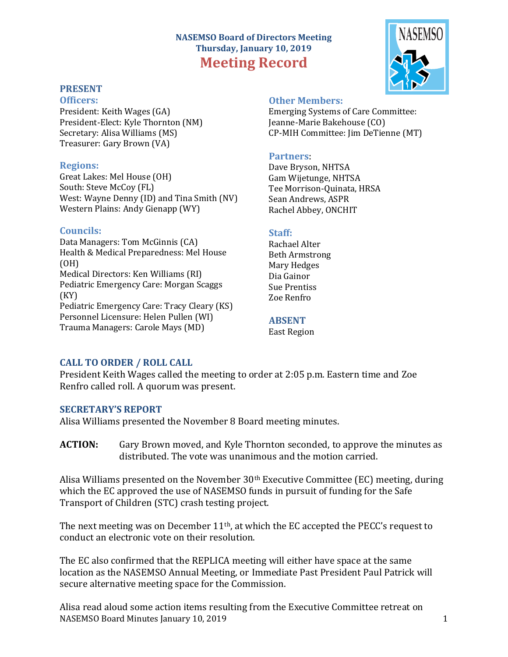# **NASEMSO Board of Directors Meeting Thursday, January 10, 2019 Meeting Record**

# **PRESENT**

**Officers:** President: Keith Wages (GA) President-Elect: Kyle Thornton (NM) Secretary: Alisa Williams (MS) Treasurer: Gary Brown (VA)

#### **Regions:**

Great Lakes: Mel House (OH) South: Steve McCoy (FL) West: Wayne Denny (ID) and Tina Smith (NV) Western Plains: Andy Gienapp (WY)

### **Councils:**

Data Managers: Tom McGinnis (CA) Health & Medical Preparedness: Mel House (OH) Medical Directors: Ken Williams (RI) Pediatric Emergency Care: Morgan Scaggs (KY) Pediatric Emergency Care: Tracy Cleary (KS) Personnel Licensure: Helen Pullen (WI) Trauma Managers: Carole Mays (MD)

### **Other Members:**

Emerging Systems of Care Committee: Jeanne-Marie Bakehouse (CO) CP-MIH Committee: Jim DeTienne (MT)

#### **Partners**:

Dave Bryson, NHTSA Gam Wijetunge, NHTSA Tee Morrison-Quinata, HRSA Sean Andrews, ASPR Rachel Abbey, ONCHIT

### **Staff:**

Rachael Alter Beth Armstrong Mary Hedges Dia Gainor Sue Prentiss Zoe Renfro

### **ABSENT**

East Region

# **CALL TO ORDER / ROLL CALL**

President Keith Wages called the meeting to order at 2:05 p.m. Eastern time and Zoe Renfro called roll. A quorum was present.

#### **SECRETARY'S REPORT**

Alisa Williams presented the November 8 Board meeting minutes.

**ACTION:** Gary Brown moved, and Kyle Thornton seconded, to approve the minutes as distributed. The vote was unanimous and the motion carried.

Alisa Williams presented on the November  $30<sup>th</sup>$  Executive Committee (EC) meeting, during which the EC approved the use of NASEMSO funds in pursuit of funding for the Safe Transport of Children (STC) crash testing project.

The next meeting was on December  $11<sup>th</sup>$ , at which the EC accepted the PECC's request to conduct an electronic vote on their resolution.

The EC also confirmed that the REPLICA meeting will either have space at the same location as the NASEMSO Annual Meeting, or Immediate Past President Paul Patrick will secure alternative meeting space for the Commission.

NASEMSO Board Minutes January 10, 2019 1 Alisa read aloud some action items resulting from the Executive Committee retreat on

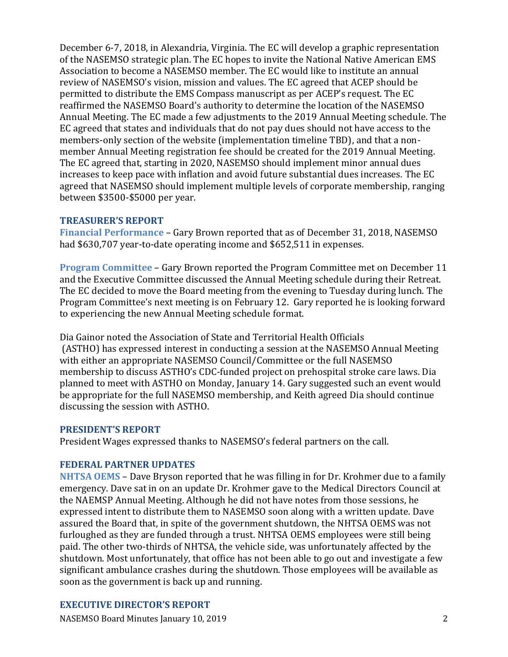December 6-7, 2018, in Alexandria, Virginia. The EC will develop a graphic representation of the NASEMSO strategic plan. The EC hopes to invite the National Native American EMS Association to become a NASEMSO member. The EC would like to institute an annual review of NASEMSO's vision, mission and values. The EC agreed that ACEP should be permitted to distribute the EMS Compass manuscript as per ACEP's request. The EC reaffirmed the NASEMSO Board's authority to determine the location of the NASEMSO Annual Meeting. The EC made a few adjustments to the 2019 Annual Meeting schedule. The EC agreed that states and individuals that do not pay dues should not have access to the members-only section of the website (implementation timeline TBD), and that a nonmember Annual Meeting registration fee should be created for the 2019 Annual Meeting. The EC agreed that, starting in 2020, NASEMSO should implement minor annual dues increases to keep pace with inflation and avoid future substantial dues increases. The EC agreed that NASEMSO should implement multiple levels of corporate membership, ranging between \$3500-\$5000 per year.

### **TREASURER'S REPORT**

**Financial Performance** – Gary Brown reported that as of December 31, 2018, NASEMSO had \$630,707 year-to-date operating income and \$652,511 in expenses.

**Program Committee** – Gary Brown reported the Program Committee met on December 11 and the Executive Committee discussed the Annual Meeting schedule during their Retreat. The EC decided to move the Board meeting from the evening to Tuesday during lunch. The Program Committee's next meeting is on February 12. Gary reported he is looking forward to experiencing the new Annual Meeting schedule format.

Dia Gainor noted the Association of State and Territorial Health Officials (ASTHO) has expressed interest in conducting a session at the NASEMSO Annual Meeting with either an appropriate NASEMSO Council/Committee or the full NASEMSO membership to discuss ASTHO's CDC-funded project on prehospital stroke care laws. Dia planned to meet with ASTHO on Monday, January 14. Gary suggested such an event would be appropriate for the full NASEMSO membership, and Keith agreed Dia should continue discussing the session with ASTHO.

#### **PRESIDENT'S REPORT**

President Wages expressed thanks to NASEMSO's federal partners on the call.

# **FEDERAL PARTNER UPDATES**

**NHTSA OEMS** – Dave Bryson reported that he was filling in for Dr. Krohmer due to a family emergency. Dave sat in on an update Dr. Krohmer gave to the Medical Directors Council at the NAEMSP Annual Meeting. Although he did not have notes from those sessions, he expressed intent to distribute them to NASEMSO soon along with a written update. Dave assured the Board that, in spite of the government shutdown, the NHTSA OEMS was not furloughed as they are funded through a trust. NHTSA OEMS employees were still being paid. The other two-thirds of NHTSA, the vehicle side, was unfortunately affected by the shutdown. Most unfortunately, that office has not been able to go out and investigate a few significant ambulance crashes during the shutdown. Those employees will be available as soon as the government is back up and running.

# **EXECUTIVE DIRECTOR'S REPORT**

NASEMSO Board Minutes January 10, 2019 2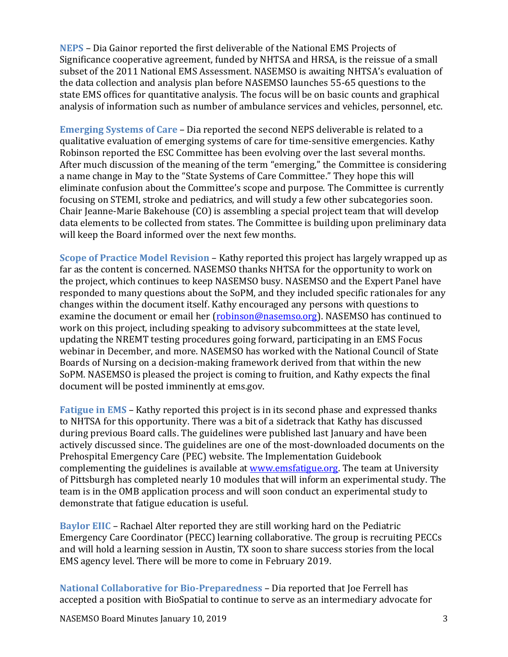**NEPS** – Dia Gainor reported the first deliverable of the National EMS Projects of Significance cooperative agreement, funded by NHTSA and HRSA, is the reissue of a small subset of the 2011 National EMS Assessment. NASEMSO is awaiting NHTSA's evaluation of the data collection and analysis plan before NASEMSO launches 55-65 questions to the state EMS offices for quantitative analysis. The focus will be on basic counts and graphical analysis of information such as number of ambulance services and vehicles, personnel, etc.

**Emerging Systems of Care** – Dia reported the second NEPS deliverable is related to a qualitative evaluation of emerging systems of care for time-sensitive emergencies. Kathy Robinson reported the ESC Committee has been evolving over the last several months. After much discussion of the meaning of the term "emerging," the Committee is considering a name change in May to the "State Systems of Care Committee." They hope this will eliminate confusion about the Committee's scope and purpose. The Committee is currently focusing on STEMI, stroke and pediatrics, and will study a few other subcategories soon. Chair Jeanne-Marie Bakehouse (CO) is assembling a special project team that will develop data elements to be collected from states. The Committee is building upon preliminary data will keep the Board informed over the next few months.

**Scope of Practice Model Revision** – Kathy reported this project has largely wrapped up as far as the content is concerned. NASEMSO thanks NHTSA for the opportunity to work on the project, which continues to keep NASEMSO busy. NASEMSO and the Expert Panel have responded to many questions about the SoPM, and they included specific rationales for any changes within the document itself. Kathy encouraged any persons with questions to examine the document or email her [\(robinson@nasemso.org\)](mailto:robinson@nasemso.org). NASEMSO has continued to work on this project, including speaking to advisory subcommittees at the state level, updating the NREMT testing procedures going forward, participating in an EMS Focus webinar in December, and more. NASEMSO has worked with the National Council of State Boards of Nursing on a decision-making framework derived from that within the new SoPM. NASEMSO is pleased the project is coming to fruition, and Kathy expects the final document will be posted imminently at ems.gov.

**Fatigue in EMS** – Kathy reported this project is in its second phase and expressed thanks to NHTSA for this opportunity. There was a bit of a sidetrack that Kathy has discussed during previous Board calls. The guidelines were published last January and have been actively discussed since. The guidelines are one of the most-downloaded documents on the Prehospital Emergency Care (PEC) website. The Implementation Guidebook complementing the guidelines is available at [www.emsfatigue.org.](http://www.emsfatigue.org/) The team at University of Pittsburgh has completed nearly 10 modules that will inform an experimental study. The team is in the OMB application process and will soon conduct an experimental study to demonstrate that fatigue education is useful.

**Baylor EIIC** – Rachael Alter reported they are still working hard on the Pediatric Emergency Care Coordinator (PECC) learning collaborative. The group is recruiting PECCs and will hold a learning session in Austin, TX soon to share success stories from the local EMS agency level. There will be more to come in February 2019.

**National Collaborative for Bio-Preparedness** – Dia reported that Joe Ferrell has accepted a position with BioSpatial to continue to serve as an intermediary advocate for

NASEMSO Board Minutes January 10, 2019 3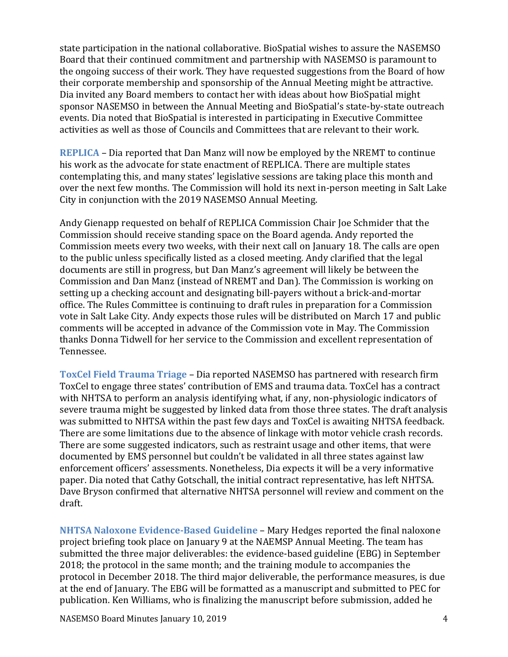state participation in the national collaborative. BioSpatial wishes to assure the NASEMSO Board that their continued commitment and partnership with NASEMSO is paramount to the ongoing success of their work. They have requested suggestions from the Board of how their corporate membership and sponsorship of the Annual Meeting might be attractive. Dia invited any Board members to contact her with ideas about how BioSpatial might sponsor NASEMSO in between the Annual Meeting and BioSpatial's state-by-state outreach events. Dia noted that BioSpatial is interested in participating in Executive Committee activities as well as those of Councils and Committees that are relevant to their work.

**REPLICA** – Dia reported that Dan Manz will now be employed by the NREMT to continue his work as the advocate for state enactment of REPLICA. There are multiple states contemplating this, and many states' legislative sessions are taking place this month and over the next few months. The Commission will hold its next in-person meeting in Salt Lake City in conjunction with the 2019 NASEMSO Annual Meeting.

Andy Gienapp requested on behalf of REPLICA Commission Chair Joe Schmider that the Commission should receive standing space on the Board agenda. Andy reported the Commission meets every two weeks, with their next call on January 18. The calls are open to the public unless specifically listed as a closed meeting. Andy clarified that the legal documents are still in progress, but Dan Manz's agreement will likely be between the Commission and Dan Manz (instead of NREMT and Dan). The Commission is working on setting up a checking account and designating bill-payers without a brick-and-mortar office. The Rules Committee is continuing to draft rules in preparation for a Commission vote in Salt Lake City. Andy expects those rules will be distributed on March 17 and public comments will be accepted in advance of the Commission vote in May. The Commission thanks Donna Tidwell for her service to the Commission and excellent representation of Tennessee.

**ToxCel Field Trauma Triage** – Dia reported NASEMSO has partnered with research firm ToxCel to engage three states' contribution of EMS and trauma data. ToxCel has a contract with NHTSA to perform an analysis identifying what, if any, non-physiologic indicators of severe trauma might be suggested by linked data from those three states. The draft analysis was submitted to NHTSA within the past few days and ToxCel is awaiting NHTSA feedback. There are some limitations due to the absence of linkage with motor vehicle crash records. There are some suggested indicators, such as restraint usage and other items, that were documented by EMS personnel but couldn't be validated in all three states against law enforcement officers' assessments. Nonetheless, Dia expects it will be a very informative paper. Dia noted that Cathy Gotschall, the initial contract representative, has left NHTSA. Dave Bryson confirmed that alternative NHTSA personnel will review and comment on the draft.

**NHTSA Naloxone Evidence-Based Guideline** – Mary Hedges reported the final naloxone project briefing took place on January 9 at the NAEMSP Annual Meeting. The team has submitted the three major deliverables: the evidence-based guideline (EBG) in September 2018; the protocol in the same month; and the training module to accompanies the protocol in December 2018. The third major deliverable, the performance measures, is due at the end of January. The EBG will be formatted as a manuscript and submitted to PEC for publication. Ken Williams, who is finalizing the manuscript before submission, added he

NASEMSO Board Minutes January 10, 2019 4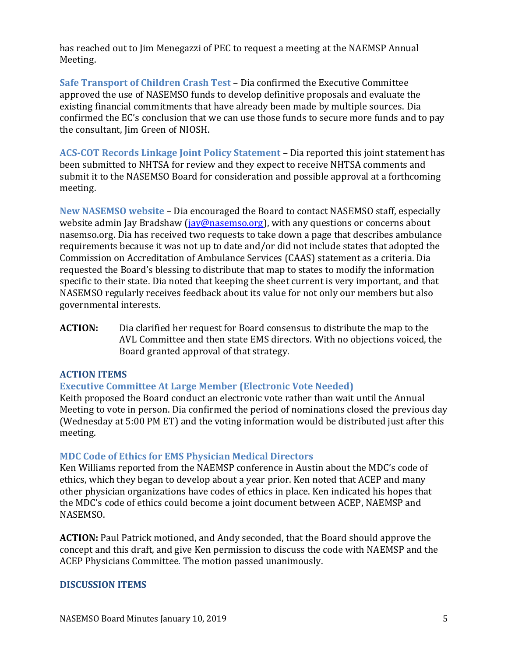has reached out to Jim Menegazzi of PEC to request a meeting at the NAEMSP Annual Meeting.

**Safe Transport of Children Crash Test** – Dia confirmed the Executive Committee approved the use of NASEMSO funds to develop definitive proposals and evaluate the existing financial commitments that have already been made by multiple sources. Dia confirmed the EC's conclusion that we can use those funds to secure more funds and to pay the consultant, Jim Green of NIOSH.

**ACS-COT Records Linkage Joint Policy Statement** – Dia reported this joint statement has been submitted to NHTSA for review and they expect to receive NHTSA comments and submit it to the NASEMSO Board for consideration and possible approval at a forthcoming meeting.

**New NASEMSO website** – Dia encouraged the Board to contact NASEMSO staff, especially website admin Jay Bradshaw [\(jay@nasemso.org\)](mailto:jay@nasemso.org), with any questions or concerns about nasemso.org. Dia has received two requests to take down a page that describes ambulance requirements because it was not up to date and/or did not include states that adopted the Commission on Accreditation of Ambulance Services (CAAS) statement as a criteria. Dia requested the Board's blessing to distribute that map to states to modify the information specific to their state. Dia noted that keeping the sheet current is very important, and that NASEMSO regularly receives feedback about its value for not only our members but also governmental interests.

**ACTION:** Dia clarified her request for Board consensus to distribute the map to the AVL Committee and then state EMS directors. With no objections voiced, the Board granted approval of that strategy.

# **ACTION ITEMS**

# **Executive Committee At Large Member (Electronic Vote Needed)**

Keith proposed the Board conduct an electronic vote rather than wait until the Annual Meeting to vote in person. Dia confirmed the period of nominations closed the previous day (Wednesday at 5:00 PM ET) and the voting information would be distributed just after this meeting.

#### **MDC Code of Ethics for EMS Physician Medical Directors**

Ken Williams reported from the NAEMSP conference in Austin about the MDC's code of ethics, which they began to develop about a year prior. Ken noted that ACEP and many other physician organizations have codes of ethics in place. Ken indicated his hopes that the MDC's code of ethics could become a joint document between ACEP, NAEMSP and NASEMSO.

**ACTION:** Paul Patrick motioned, and Andy seconded, that the Board should approve the concept and this draft, and give Ken permission to discuss the code with NAEMSP and the ACEP Physicians Committee. The motion passed unanimously.

#### **DISCUSSION ITEMS**